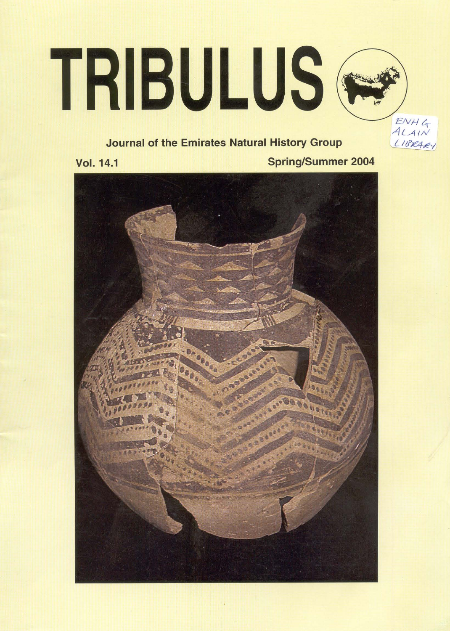# TRIBULUS<sup>®</sup>

# **Journal of the Emirates Natural History Group**

**Vol. 14.1** 

**Spring/Summer 2004** 

ENHG

LIBRARY

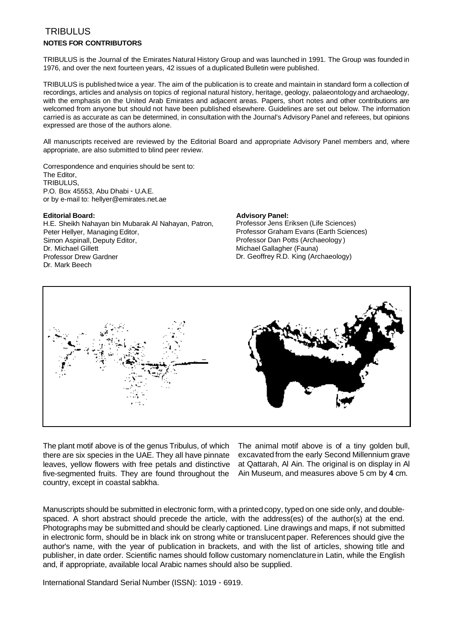## TRIBULUS **NOTES FOR CONTRIBUTORS**

TRIBULUS is the Journal of the Emirates Natural History Group and was launched in 1991. The Group was founded in 1976, and over the next fourteen years, 42 issues of a duplicated Bulletin were published.

TRIBULUS is published twice a year. The aim of the publication is to create and maintain in standard form a collection of recordings, articles and analysis on topics of regional natural history, heritage, geology, palaeontology and archaeology, with the emphasis on the United Arab Emirates and adjacent areas. Papers, short notes and other contributions are welcomed from anyone but should not have been published elsewhere. Guidelines are set out below. The information carried is as accurate as can be determined, in consultation with the Journal's Advisory Panel and referees, but opinions expressed are those of the authors alone.

All manuscripts received are reviewed by the Editorial Board and appropriate Advisory Panel members and, where appropriate, are also submitted to blind peer review.

Correspondence and enquiries should be sent to: The Editor, TRIBULUS, P.O. Box 45553, Abu Dhabi - U.A.E. or by e-mail to: hellyer@emirates.net.ae

**Editorial Board: Advisory Panel: Advisory Panel: Advisory Panel: H.E. Sheikh Nahavan bin Mubarak Al Nahavan. Patron. Professor Jens Eriksen (Life Sciences)** H.E. Sheikh Nahayan bin Mubarak Al Nahayan, Patron, Peter Hellyer, Managing Editor, **Professor Graham Evans (Earth Sciences)** Simon Aspinall, Deputy Editor, etc. Professor Dan Potts (Archaeology )<br>
Dr. Michael Gillett (Fauna) Professor Drew Gardner **Dr. Geoffrey R.D. King (Archaeology)** Dr. Mark Beech

Michael Gallagher (Fauna)



The plant motif above is of the genus Tribulus, of which The animal motif above is of a tiny golden bull, there are six species in the UAE. They all have pinnate excavated from the early Second Millennium grave leaves, yellow flowers with free petals and distinctive at Qattarah, Al Ain. The original is on display in Al five-segmented fruits. They are found throughout the Ain Museum, and measures above 5 cm by **4** cm. country, except in coastal sabkha.

Manuscripts should be submitted in electronic form, with a printed copy, typed on one side only, and doublespaced. A short abstract should precede the article, with the address(es) of the author(s) at the end. Photographs may be submitted and should be clearly captioned. Line drawings and maps, if not submitted in electronic form, should be in black ink on strong white or translucent paper. References should give the author's name, with the year of publication in brackets, and with the list of articles, showing title and publisher, in date order. Scientific names should follow customary nomenclature in Latin, while the English and, if appropriate, available local Arabic names should also be supplied.

International Standard Serial Number (ISSN): 1019 - 6919.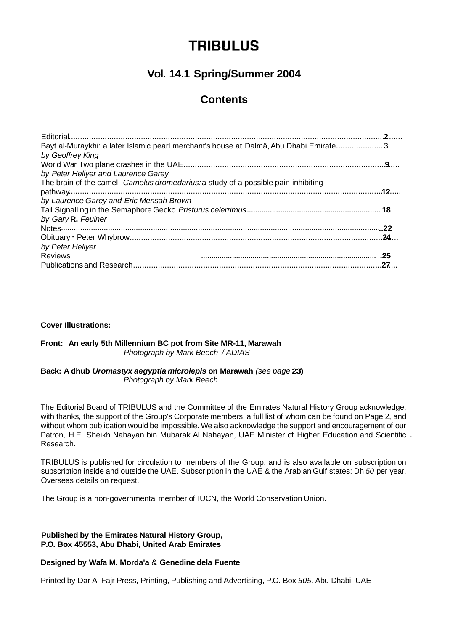# **TRIBULUS**

# **Vol. 14.1 Spring/Summer 2004**

# **Contents**

#### **Cover Illustrations:**

#### **Front: An early 5th Millennium BC pot from Site MR-11, Marawah**  Photograph by Mark Beech */ ADIAS*

#### **Back: A dhub Uromastyx aegyptia microlepis on Marawah** (see page **23)**  Photograph by Mark Beech

The Editorial Board of TRIBULUS and the Committee of the Emirates Natural History Group acknowledge, with thanks, the support of the Group's Corporate members, a full list of whom can be found on Page 2, and without whom publication would be impossible. We also acknowledge the support and encouragement of our Patron, H.E. Sheikh Nahayan bin Mubarak Al Nahayan, UAE Minister of Higher Education and Scientific . Research.

TRIBULUS is published for circulation to members of the Group, and is also available on subscription on subscription inside and outside the UAE. Subscription in the UAE & the Arabian Gulf states: Dh 50 per year. Overseas details on request.

The Group is a non-governmental member of IUCN, the World Conservation Union.

#### **Published by the Emirates Natural History Group, P.O. Box 45553, Abu Dhabi, United Arab Emirates**

### **Designed by Wafa M. Morda'a** & **Genedine dela Fuente**

Printed by Dar Al Fajr Press, Printing, Publishing and Advertising, P.O. Box 505, Abu Dhabi, UAE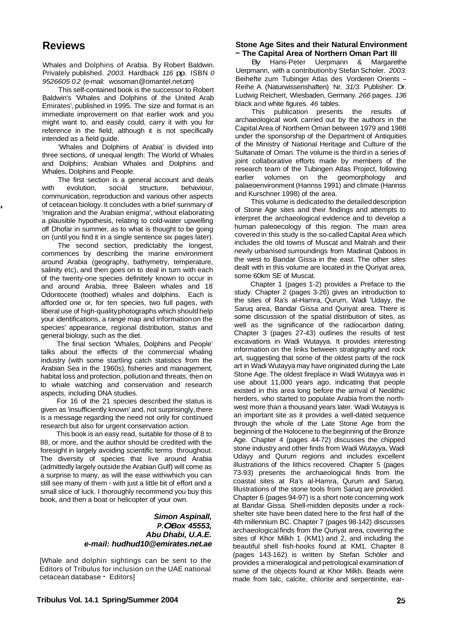# **Reviews**

Whales and Dolphins of Arabia. By Robert Baldwin. Privately published. 2003. Hardback 116 pp. ISBN 0 9526605 02 (e-mail: wosoman @omantel.net.om)

This self-contained book is the successor to Robert Baldwin's 'Whales and Dolphins of the United Arab Emirates', published in 1995. The size and format is an immediate improvement on that earlier work and you might want to, and easily could, carry it with you for reference in the field, although it is not specifically intended as a field guide.

'Whales and Dolphins of Arabia' is divided into three sections, of unequal length: The World of Whales and Dolphins; Arabian Whales and Dolphins and Whales, Dolphins and People.

The first section is a general account and deals with evolution, social structure, behaviour communication, reproduction and various other aspects of cetacean biology. It concludes with a brief summary of 'migration and the Arabian enigma', without elaborating a plausible hypothesis, relating to cold-water upwelling off Dhofar in summer, as to what is thought to be going on (until you find it in a single sentence six pages later).

The second section, predictably the longest, commences by describing the marine environment around Arabia (geography, bathymetry, temperature, salinity etc), and then goes on to deal in turn with each of the twenty-one species definitely known to occur in and around Arabia, three Baleen whales and 18 Odontocete (toothed) whales and dolphins. Each is afforded one or, for ten species, two full pages, with liberal use of high-quality photographs which should help your identifications, a range map and information on the species' appearance, regional distribution, status and general biology, such as the diet.

The final section 'Whales, Dolphins and People' talks about the effects of the commercial whaling industry (with some startling catch statistics from the Arabian Sea in the 1960s), fisheries and management, habitat loss and protection, pollution and threats, then on to whale watching and conservation and research aspects, including DNA studies.

For 16 of the 21 species described the status is given as 'insufficiently known' and, not surprisingly, there is a message regarding the need not only for continued research but also for urgent conservation action.

This book is an easy read, suitable for those of 8 to 88, or more, and the author should be credited with the foresight in largely avoiding scientific terms throughout. The diversity of species that live around Arabia (admittedly largely outside the Arabian Gulf) will come as a surprise to many, as will the ease withiwhich you can still see many of them - with just a little bit of effort and a small slice of luck. I thoroughly recommend you buy this book, and then a boat or helicopter of your own.

#### **Simon Aspinall, P. OBox 45553, Abu Dhabi, U.A.E. e-mail:** *hudhud10@emirates.net.ae*

[Whale and dolphin sightings can be sent to the Editors of Tribulus for inclusion on the UAE national cetacean database - Editors]

#### **Stone Age Sites and their Natural Environment**  - **The Capital Area of Northern Oman Part III**

By Hans-Peter Uerpmann & Margarethe Uerpmann, with a contribution by Stefan Scholer. 2003. Beihefte zum Tubinger Atlas des Vorderen Orients -Reihe A (Naturwissenshaften) Nr. 31/3. Publisher: Dr. Ludwig Reichert, Wiesbaden, Germany. 266 pages. 136 black and white figures. 46 tables.

This publication presents the results of archaeological work carried out by the authors in the Capital Area of Northern Oman between 1979 and 1988 under the sponsorship of the Department of Antiquities of the Ministry of National Heritage and Culture of the Sultanate of Oman. The volume is the third in a series of joint collaborative efforts made by members of the research team of the Tubingen Atlas Project, following earlier volumes on the geomorphology and palaeoenvironment (Hannss 1991) and climate (Hannss and Kurschner 1998) of the area.

This volume is dedicated to the detailed description of Stone Age sites and their findings and attempts to interpret the archaeological evidence and to develop a human paleoecology of this region. The main area covered in this study is the so-called Capital Area which includes the old towns of Muscat and Matrah and their newly urbanised surroundings from Madinat Qaboos in the west to Bandar Gissa in the east. The other sites dealt with in this volume are located in the Quriyat area, some 60km SE of Muscat.

Chapter 1 (pages 1-2) provides a Preface to the study. Chapter 2 (pages 3-26) gives an introduction to the sites of Ra's al-Hamra, Qurum, Wadi 'Udayy, the Saruq area, Bandar Gissa and Quriyat area. There is some discussion of the spatial distribution of sites, as well as the significance of the radiocarbon dating. Chapter 3 (pages 27-43) outlines the results of test excavations in Wadi Wutayya. It provides interesting information on the links between stratigraphy and rock art, suggesting that some of the oldest parts of the rock art in Wadi Wutayya may have originated during the Late Stone Age. The oldest fireplace in Wadi Wutayya was in use about 11,000 years ago, indicating that people existed in this area long before the arrival of Neolithic herders, who started to populate Arabia from the northwest more than a thousand years later. Wadi Wutayya is an important site as it provides a well-dated sequence through the whole of the Late Stone Age from the beginning of the Holocene to the beginning of the Bronze Age. Chapter 4 (pages 44-72) discusses the chipped stone industry and other finds from Wadi Wutayya, Wadi Udayy and Qurum regions and includes excellent illustrations of the lithics recovered. Chapter 5 (pages 73-93) presents the archaeological finds from the coastal sites at Ra's al-Hamra, Qurum and Saruq. Illustrations of the stone tools from Saruq are provided. Chapter 6 (pages 94-97) is a short note concerning work at Bandar Gissa. Shell-midden deposits under a rockshelter site have been dated here to the first half of the 4th millennium BC. Chapter 7 (pages 98-142) discusses archaeological finds from the Quriyat area, covering the sites of Khor Milkh 1 (KM1) and 2, and including the beautiful shell fish-hooks found at KM1. Chapter 8 (pages 143-162) is written by Stefan Schöler and provides a mineralogical and petrological examination of some of the objects found at Khor Milkh. Beads were made from talc, calcite, chlorite and serpentinite, ear